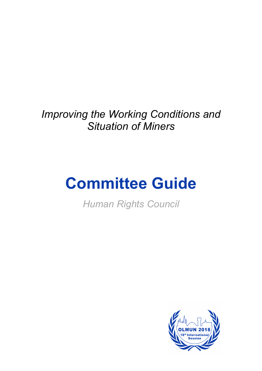*Improving the Working Conditions and Situation of Miners*

# **Committee Guide**

*Human Rights Council*

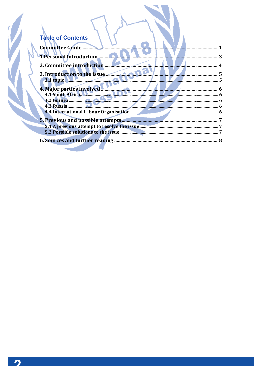| <b>Table of Contents</b> |  |
|--------------------------|--|

ł

| Committee Guide                 |  |
|---------------------------------|--|
| 1. Personal Introduction        |  |
| 2. Committee introduction       |  |
| 3. Introduction to the issue    |  |
|                                 |  |
| 4. Major parties involved       |  |
| 4.1 South Africa                |  |
| 4.3 Russia                      |  |
|                                 |  |
|                                 |  |
|                                 |  |
|                                 |  |
| 6. Sources and further reading. |  |

 $\overline{\phantom{a}}$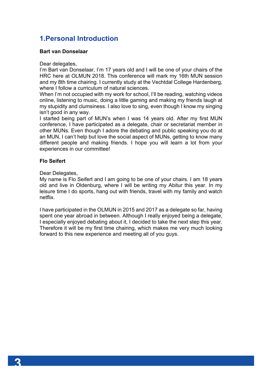# **1.Personal Introduction**

## **Bart van Donselaar**

Dear delegates,

I'm Bart van Donselaar, I'm 17 years old and I will be one of your chairs of the HRC here at OLMUN 2018. This conference will mark my 16th MUN session and my 8th time chairing. I currently study at the Vechtdal College Hardenberg, where I follow a curriculum of natural sciences.

When I'm not occupied with my work for school, I'll be reading, watching videos online, listening to music, doing a little gaming and making my friends laugh at my stupidity and clumsiness. I also love to sing, even though I know my singing isn't good in any way.

I started being part of MUN's when I was 14 years old. After my first MUN conference, I have participated as a delegate, chair or secretariat member in other MUNs. Even though I adore the debating and public speaking you do at an MUN, I can't help but love the social aspect of MUNs, getting to know many different people and making friends. I hope you will learn a lot from your experiences in our committee!

## **Flo Seifert**

Dear Delegates,

My name is Flo Seifert and I am going to be one of your chairs. I am 18 years old and live in Oldenburg, where I will be writing my Abitur this year. In my leisure time I do sports, hang out with friends, travel with my family and watch netflix.

I have participated in the OLMUN in 2015 and 2017 as a delegate so far, having spent one year abroad in between. Although I really enjoyed being a delegate, I especially enjoyed debating about it, I decided to take the next step this year. Therefore it will be my first time chairing, which makes me very much looking forward to this new experience and meeting all of you guys.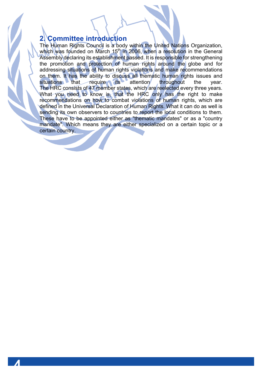## **2. Committee introduction**

The Human Rights Council is a body within the United Nations Organization, which was founded on March 15<sup>th</sup> in 2006, when a resolution in the General Assembly declaring its establishment passed. It is responsible for strengthening the promotion and protection of human rights around the globe and for addressing situations of human rights violations and make recommendations on them. It has the ability to discuss all thematic human rights issues and situations that require its attention throughout the year. The HRC consists of 47 member states, which are reelected every three years. What you need to know is, that the HRC only has the right to make recommendations on how to combat violations of human rights, which are defined in the Universal Declaration of Human Rights. What it can do as well is sending its own observers to countries to report the local conditions to them. These have to be appointed either as "thematic mandates" or as a "country mandate". Which means they are either specialized on a certain topic or a certain country.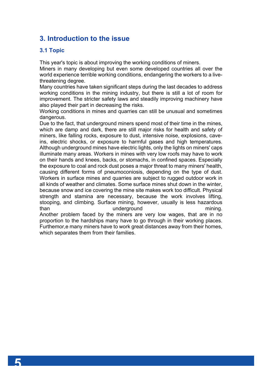# **3. Introduction to the issue**

## **3.1 Topic**

This year's topic is about improving the working conditions of miners.

Miners in many developing but even some developed countries all over the world experience terrible working conditions, endangering the workers to a livethreatening degree.

Many countries have taken significant steps during the last decades to address working conditions in the mining industry, but there is still a lot of room for improvement. The stricter safety laws and steadily improving machinery have also played their part in decreasing the risks.

Working conditions in mines and quarries can still be unusual and sometimes dangerous.

Due to the fact, that underground miners spend most of their time in the mines, which are damp and dark, there are still major risks for health and safety of miners, like falling rocks, exposure to dust, intensive noise, explosions, caveins, electric shocks, or exposure to harmful gases and high temperatures. Although underground mines have electric lights, only the lights on miners' caps illuminate many areas. Workers in mines with very low roofs may have to work on their hands and knees, backs, or stomachs, in confined spaces. Especially the exposure to coal and rock dust poses a major threat to many miners' health, causing different forms of pneumoconiosis, depending on the type of dust. Workers in surface mines and quarries are subject to rugged outdoor work in all kinds of weather and climates. Some surface mines shut down in the winter, because snow and ice covering the mine site makes work too difficult. Physical strength and stamina are necessary, because the work involves lifting, stooping, and climbing. Surface mining, however, usually is less hazardous than the underground than mining. Another problem faced by the miners are very low wages, that are in no proportion to the hardships many have to go through in their working places. Furthemor,e many miners have to work great distances away from their homes, which separates them from their families.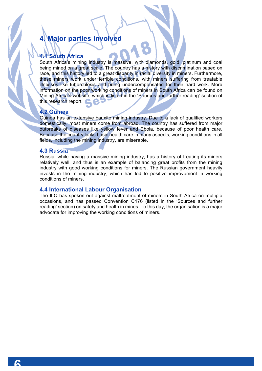# **4. Major parties involved**

## **4.1 South Africa**

South Africa's mining industry is massive, with diamonds, gold, platinum and coal being mined on a great scale. The country has a history with discrimination based on race, and this history led to a great disparity in racial diversity in miners. Furthermore, these miners work under terrible conditions, with miners suffering from treatable illnesses like tuberculosis and being undercompensated for their hard work. More information on the poor working conditions of miners in South Africa can be found on Mining Africa's website, which is listed in the 'Sources and further reading' section of this research report.

## **4.2 Guinea**

Guinea has an extensive bauxite mining industry. Due to a lack of qualified workers domestically, most miners come from abroad. The country has suffered from major outbreaks of diseases like yellow fever and Ebola, because of poor health care. Because the country lacks basic health care in many aspects, working conditions in all fields, including the mining industry, are miserable.

#### **4.3 Russia**

Russia, while having a massive mining industry, has a history of treating its miners relatively well, and thus is an example of balancing great profits from the mining industry with good working conditions for miners. The Russian government heavily invests in the mining industry, which has led to positive improvement in working conditions of miners.

#### **4.4 International Labour Organisation**

The ILO has spoken out against maltreatment of miners in South Africa on multiple occasions, and has passed Convention C176 (listed in the 'Sources and further reading' section) on safety and health in mines. To this day, the organisation is a major advocate for improving the working conditions of miners.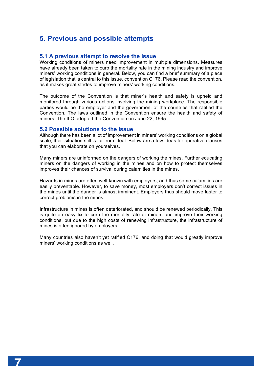# **5. Previous and possible attempts**

#### **5.1 A previous attempt to resolve the issue**

Working conditions of miners need improvement in multiple dimensions. Measures have already been taken to curb the mortality rate in the mining industry and improve miners' working conditions in general. Below, you can find a brief summary of a piece of legislation that is central to this issue, convention C176. Please read the convention, as it makes great strides to improve miners' working conditions.

The outcome of the Convention is that miner's health and safety is upheld and monitored through various actions involving the mining workplace. The responsible parties would be the employer and the government of the countries that ratified the Convention. The laws outlined in the Convention ensure the health and safety of miners. The ILO adopted the Convention on June 22, 1995.

#### **5.2 Possible solutions to the issue**

Although there has been a lot of improvement in miners' working conditions on a global scale, their situation still is far from ideal. Below are a few ideas for operative clauses that you can elaborate on yourselves.

Many miners are uninformed on the dangers of working the mines. Further educating miners on the dangers of working in the mines and on how to protect themselves improves their chances of survival during calamities in the mines.

Hazards in mines are often well-known with employers, and thus some calamities are easily preventable. However, to save money, most employers don't correct issues in the mines until the danger is almost imminent. Employers thus should move faster to correct problems in the mines.

Infrastructure in mines is often deteriorated, and should be renewed periodically. This is quite an easy fix to curb the mortality rate of miners and improve their working conditions, but due to the high costs of renewing infrastructure, the infrastructure of mines is often ignored by employers.

Many countries also haven't yet ratified C176, and doing that would greatly improve miners' working conditions as well.